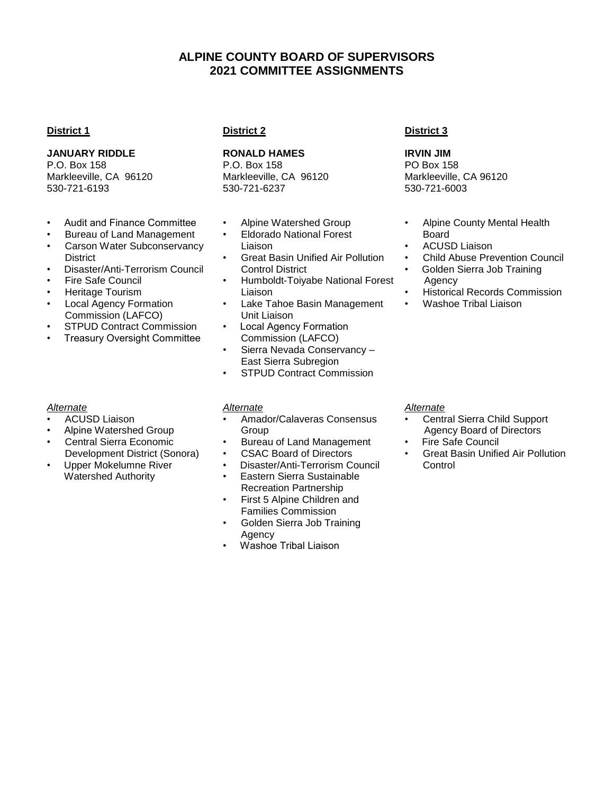# **ALPINE COUNTY BOARD OF SUPERVISORS 2021 COMMITTEE ASSIGNMENTS**

## **District 1**

## **JANUARY RIDDLE**

P.O. Box 158 Markleeville, CA 96120 530-721-6193

- Audit and Finance Committee
- Bureau of Land Management
- Carson Water Subconservancy **District**
- Disaster/Anti-Terrorism Council
- Fire Safe Council
- Heritage Tourism
- **Local Agency Formation** Commission (LAFCO)
- **STPUD Contract Commission**
- **Treasury Oversight Committee**

# *Alternate*

- ACUSD Liaison
- Alpine Watershed Group
- Central Sierra Economic Development District (Sonora)
- Upper Mokelumne River Watershed Authority

# **District 2**

# **RONALD HAMES**

P.O. Box 158 Markleeville, CA 96120 530-721-6237

- Alpine Watershed Group
- Eldorado National Forest Liaison
- Great Basin Unified Air Pollution Control District
- Humboldt-Toiyabe National Forest Liaison
- Lake Tahoe Basin Management Unit Liaison
- Local Agency Formation Commission (LAFCO)
- Sierra Nevada Conservancy East Sierra Subregion
- STPUD Contract Commission

# *Alternate*

- Amador/Calaveras Consensus **Group**
- Bureau of Land Management
- CSAC Board of Directors
- Disaster/Anti-Terrorism Council
- Eastern Sierra Sustainable Recreation Partnership
- First 5 Alpine Children and Families Commission
- Golden Sierra Job Training Agency
- Washoe Tribal Liaison

## **District 3**

**IRVIN JIM** PO Box 158 Markleeville, CA 96120 530-721-6003

- Alpine County Mental Health Board
- ACUSD Liaison
- Child Abuse Prevention Council
- Golden Sierra Job Training Agency
- Historical Records Commission
- Washoe Tribal Liaison

#### *Alternate*

- Central Sierra Child Support Agency Board of Directors
- **Fire Safe Council**
- Great Basin Unified Air Pollution **Control**